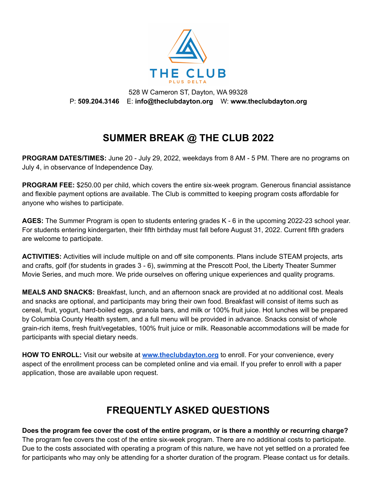

528 W Cameron ST, Dayton, WA 99328 P: **509.204.3146** E: **info@theclubdayton.org** W: **www.theclubdayton.org**

# **SUMMER BREAK @ THE CLUB 2022**

**PROGRAM DATES/TIMES:** June 20 - July 29, 2022, weekdays from 8 AM - 5 PM. There are no programs on July 4, in observance of Independence Day.

**PROGRAM FEE:** \$250.00 per child, which covers the entire six-week program. Generous financial assistance and flexible payment options are available. The Club is committed to keeping program costs affordable for anyone who wishes to participate.

**AGES:** The Summer Program is open to students entering grades K - 6 in the upcoming 2022-23 school year. For students entering kindergarten, their fifth birthday must fall before August 31, 2022. Current fifth graders are welcome to participate.

**ACTIVITIES:** Activities will include multiple on and off site components. Plans include STEAM projects, arts and crafts, golf (for students in grades 3 - 6), swimming at the Prescott Pool, the Liberty Theater Summer Movie Series, and much more. We pride ourselves on offering unique experiences and quality programs.

**MEALS AND SNACKS:** Breakfast, lunch, and an afternoon snack are provided at no additional cost. Meals and snacks are optional, and participants may bring their own food. Breakfast will consist of items such as cereal, fruit, yogurt, hard-boiled eggs, granola bars, and milk or 100% fruit juice. Hot lunches will be prepared by Columbia County Health system, and a full menu will be provided in advance. Snacks consist of whole grain-rich items, fresh fruit/vegetables, 100% fruit juice or milk. Reasonable accommodations will be made for participants with special dietary needs.

**HOW TO ENROLL:** Visit our website at **[www.theclubdayton.org](https://theclubdayton.org)** to enroll. For your convenience, every aspect of the enrollment process can be completed online and via email. If you prefer to enroll with a paper application, those are available upon request.

# **FREQUENTLY ASKED QUESTIONS**

Does the program fee cover the cost of the entire program, or is there a monthly or recurring charge? The program fee covers the cost of the entire six-week program. There are no additional costs to participate. Due to the costs associated with operating a program of this nature, we have not yet settled on a prorated fee for participants who may only be attending for a shorter duration of the program. Please contact us for details.